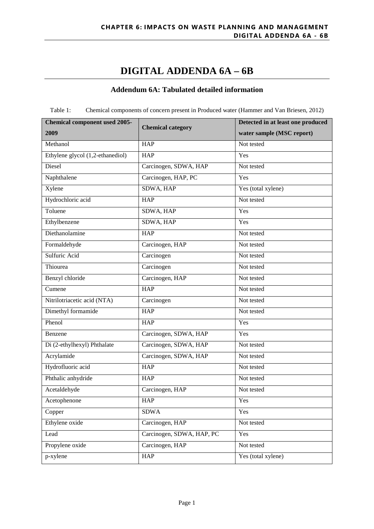## **DIGITAL ADDENDA 6A – 6B**

## **Addendum 6A: Tabulated detailed information**

Table 1: Chemical components of concern present in Produced water (Hammer and Van Briesen, 2012)

| <b>Chemical component used 2005-</b> | <b>Chemical category</b>  | Detected in at least one produced |  |
|--------------------------------------|---------------------------|-----------------------------------|--|
| 2009                                 |                           | water sample (MSC report)         |  |
| Methanol                             | <b>HAP</b>                | Not tested                        |  |
| Ethylene glycol (1,2-ethanediol)     | <b>HAP</b>                | Yes                               |  |
| Diesel                               | Carcinogen, SDWA, HAP     | Not tested                        |  |
| Naphthalene                          | Carcinogen, HAP, PC       | Yes                               |  |
| Xylene                               | SDWA, HAP                 | Yes (total xylene)                |  |
| Hydrochloric acid                    | <b>HAP</b>                | Not tested                        |  |
| Toluene                              | SDWA, HAP                 | Yes                               |  |
| Ethylbenzene                         | SDWA, HAP                 | Yes                               |  |
| Diethanolamine                       | <b>HAP</b>                | Not tested                        |  |
| Formaldehyde                         | Carcinogen, HAP           | Not tested                        |  |
| Sulfuric Acid                        | Carcinogen                | Not tested                        |  |
| Thiourea                             | Carcinogen                | Not tested                        |  |
| Benzyl chloride                      | Carcinogen, HAP           | Not tested                        |  |
| Cumene                               | <b>HAP</b>                | Not tested                        |  |
| Nitrilotriacetic acid (NTA)          | Carcinogen                | Not tested                        |  |
| Dimethyl formamide                   | $\overline{HAP}$          | Not tested                        |  |
| Phenol                               | <b>HAP</b>                | Yes                               |  |
| Benzene                              | Carcinogen, SDWA, HAP     | Yes                               |  |
| Di (2-ethylhexyl) Phthalate          | Carcinogen, SDWA, HAP     | Not tested                        |  |
| Acrylamide                           | Carcinogen, SDWA, HAP     | Not tested                        |  |
| Hydrofluoric acid                    | <b>HAP</b>                | Not tested                        |  |
| Phthalic anhydride                   | HAP                       | Not tested                        |  |
| Acetaldehyde                         | Carcinogen, HAP           | Not tested                        |  |
| Acetophenone                         | <b>HAP</b>                | Yes                               |  |
| Copper                               | <b>SDWA</b>               | Yes                               |  |
| Ethylene oxide                       | Carcinogen, HAP           | Not tested                        |  |
| Lead                                 | Carcinogen, SDWA, HAP, PC | Yes                               |  |
| Propylene oxide                      | Carcinogen, HAP           | Not tested                        |  |
| p-xylene                             | <b>HAP</b>                | Yes (total xylene)                |  |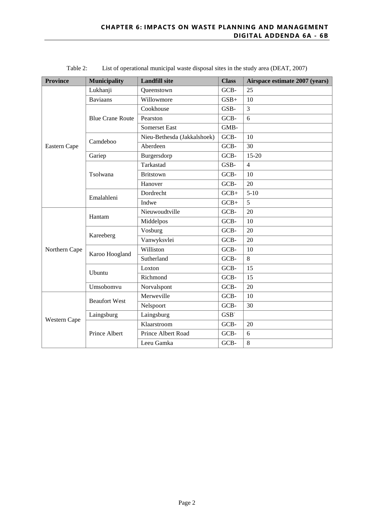| <b>Province</b> | <b>Municipality</b>     | <b>Landfill site</b>        | <b>Class</b>     | Airspace estimate 2007 (years) |
|-----------------|-------------------------|-----------------------------|------------------|--------------------------------|
|                 | Lukhanji                | GCB-<br>25<br>Queenstown    |                  |                                |
|                 | <b>Baviaans</b>         | Willowmore                  | $GSB+$           | 10                             |
|                 |                         | Cookhouse                   | GSB-             | 3                              |
|                 | <b>Blue Crane Route</b> | Pearston                    | GCB-             | 6                              |
|                 |                         | <b>Somerset East</b>        | GMB-             |                                |
|                 | Camdeboo                | Nieu-Bethesda (Jakkalshoek) | GCB-             | 10                             |
| Eastern Cape    |                         | Aberdeen                    | GCB-             | 30                             |
|                 | Gariep                  | Burgersdorp                 | GCB-             | $15-20$                        |
|                 |                         | Tarkastad                   | GSB-             | $\overline{4}$                 |
|                 | Tsolwana                | <b>Britstown</b>            | GCB-             | 10                             |
|                 |                         | Hanover                     | GCB-             | 20                             |
|                 | Emalahleni              | Dordrecht                   | $GCB+$           | $5-10$                         |
|                 |                         | Indwe                       | $GCB+$           | 5                              |
|                 | Hantam                  | Nieuwoudtville              | GCB-             | 20                             |
|                 |                         | Middelpos                   | GCB-             | 10                             |
|                 | Kareeberg               | Vosburg                     | GCB-             | 20                             |
|                 |                         | Vanwyksvlei                 | GCB-             | 20                             |
| Northern Cape   | Karoo Hoogland          | Williston                   | GCB-             | 10                             |
|                 |                         | Sutherland                  | GCB-             | 8                              |
|                 | Ubuntu                  | Loxton                      | GCB-             | 15                             |
|                 |                         | Richmond                    | GCB-             | 15                             |
|                 | Umsobomvu               | Norvalspont                 | GCB-             | 20                             |
| Western Cape    | <b>Beaufort West</b>    | Merweville                  | GCB-             | 10                             |
|                 |                         | Nelspoort                   | GCB-             | 30                             |
|                 | Laingsburg              | Laingsburg                  | GSB <sup>-</sup> |                                |
|                 | Prince Albert           | Klaarstroom                 | GCB-             | 20                             |
|                 |                         | Prince Albert Road          | GCB-             | 6                              |
|                 |                         | Leeu Gamka                  | GCB-             | 8                              |

Table 2: List of operational municipal waste disposal sites in the study area (DEAT, 2007)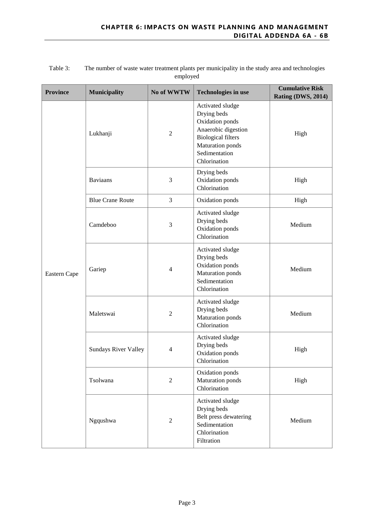| <b>Province</b> | Municipality                | No of WWTW     | <b>Technologies in use</b>                                                                                                                                  | <b>Cumulative Risk</b><br>Rating (DWS, 2014) |
|-----------------|-----------------------------|----------------|-------------------------------------------------------------------------------------------------------------------------------------------------------------|----------------------------------------------|
|                 | Lukhanji                    | $\overline{2}$ | Activated sludge<br>Drying beds<br>Oxidation ponds<br>Anaerobic digestion<br><b>Biological filters</b><br>Maturation ponds<br>Sedimentation<br>Chlorination | High                                         |
|                 | <b>Baviaans</b>             | 3              | Drying beds<br>Oxidation ponds<br>Chlorination                                                                                                              | High                                         |
|                 | <b>Blue Crane Route</b>     | 3              | Oxidation ponds                                                                                                                                             | High                                         |
| Eastern Cape    | Camdeboo                    | 3              | Activated sludge<br>Drying beds<br>Oxidation ponds<br>Chlorination                                                                                          | Medium                                       |
|                 | Gariep                      | $\overline{4}$ | Activated sludge<br>Drying beds<br>Oxidation ponds<br>Maturation ponds<br>Sedimentation<br>Chlorination                                                     | Medium                                       |
|                 | Maletswai                   | $\overline{2}$ | Activated sludge<br>Drying beds<br>Maturation ponds<br>Chlorination                                                                                         | Medium                                       |
|                 | <b>Sundays River Valley</b> | $\overline{4}$ | Activated sludge<br>Drying beds<br>Oxidation ponds<br>Chlorination                                                                                          | High                                         |
|                 | Tsolwana                    | $\overline{2}$ | Oxidation ponds<br>Maturation ponds<br>Chlorination                                                                                                         | High                                         |
|                 | Ngqushwa                    | $\overline{2}$ | Activated sludge<br>Drying beds<br>Belt press dewatering<br>Sedimentation<br>Chlorination<br>Filtration                                                     | Medium                                       |

### Table 3: The number of waste water treatment plants per municipality in the study area and technologies employed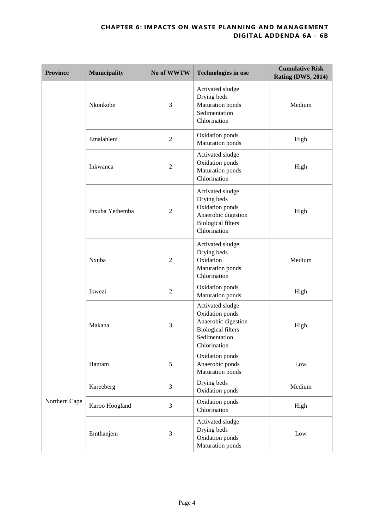| <b>Province</b> | Municipality    | No of WWTW     | <b>Technologies in use</b>                                                                                               | <b>Cumulative Risk</b><br>Rating (DWS, 2014) |
|-----------------|-----------------|----------------|--------------------------------------------------------------------------------------------------------------------------|----------------------------------------------|
|                 | Nkonkobe        | 3              | Activated sludge<br>Drying beds<br>Maturation ponds<br>Sedimentation<br>Chlorination                                     | Medium                                       |
|                 | Emalahleni      | $\sqrt{2}$     | Oxidation ponds<br>Maturation ponds                                                                                      | High                                         |
|                 | Inkwanca        | $\overline{2}$ | Activated sludge<br>Oxidation ponds<br><b>Maturation</b> ponds<br>Chlorination                                           | High                                         |
|                 | Inxuba Yethemba | $\overline{2}$ | Activated sludge<br>Drying beds<br>Oxidation ponds<br>Anaerobic digestion<br><b>Biological filters</b><br>Chlorination   | High                                         |
|                 | Nxuba           | $\overline{2}$ | Activated sludge<br>Drying beds<br>Oxidation<br>Maturation ponds<br>Chlorination                                         | Medium                                       |
|                 | Ikwezi          | $\overline{2}$ | Oxidation ponds<br><b>Maturation</b> ponds                                                                               | High                                         |
|                 | Makana          | 3              | Activated sludge<br>Oxidation ponds<br>Anaerobic digestion<br><b>Biological filters</b><br>Sedimentation<br>Chlorination | High                                         |
| Northern Cape   | Hantam          | 5              | Oxidation ponds<br>Anaerobic ponds<br>Maturation ponds                                                                   | Low                                          |
|                 | Kareeberg       | 3              | Drying beds<br>Oxidation ponds                                                                                           | Medium                                       |
|                 | Karoo Hoogland  | 3              | Oxidation ponds<br>Chlorination                                                                                          | High                                         |
|                 | Emthanjeni      | 3              | Activated sludge<br>Drying beds<br>Oxidation ponds<br>Maturation ponds                                                   | Low                                          |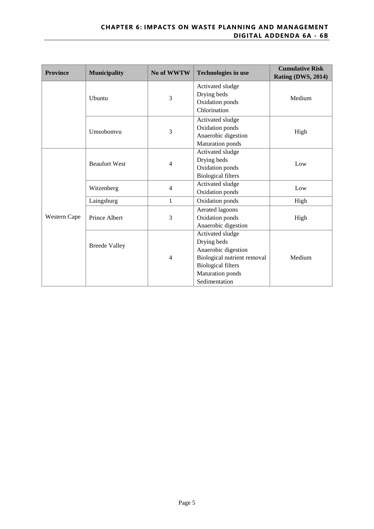| <b>Province</b> | <b>Municipality</b>  | No of WWTW     | <b>Technologies in use</b>                                                                                                                                     | <b>Cumulative Risk</b><br>Rating (DWS, 2014) |
|-----------------|----------------------|----------------|----------------------------------------------------------------------------------------------------------------------------------------------------------------|----------------------------------------------|
|                 | Ubuntu               | 3              | Activated sludge<br>Drying beds<br>Oxidation ponds<br>Chlorination                                                                                             | Medium                                       |
|                 | Umsobomvu            | 3              | Activated sludge<br>Oxidation ponds<br>Anaerobic digestion<br><b>Maturation</b> ponds                                                                          | High                                         |
|                 | <b>Beaufort West</b> | 4              | Activated sludge<br>Drying beds<br>Oxidation ponds<br><b>Biological filters</b>                                                                                | Low                                          |
|                 | Witzenberg           | 4              | Activated sludge<br>Oxidation ponds                                                                                                                            | Low                                          |
|                 | Laingsburg           | $\mathbf{1}$   | Oxidation ponds                                                                                                                                                | High                                         |
| Western Cape    | Prince Albert        | 3              | Aerated lagoons<br>Oxidation ponds<br>Anaerobic digestion                                                                                                      | High                                         |
|                 | <b>Breede Valley</b> | $\overline{4}$ | Activated sludge<br>Drying beds<br>Anaerobic digestion<br>Biological nutrient removal<br><b>Biological filters</b><br><b>Maturation</b> ponds<br>Sedimentation | Medium                                       |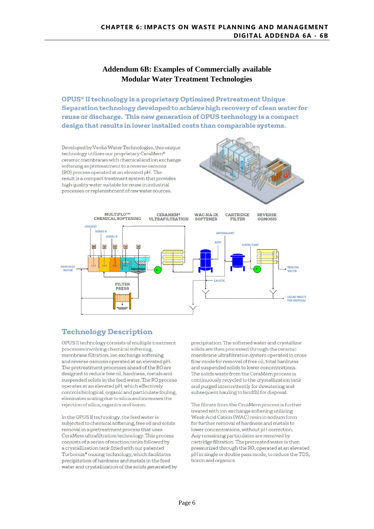## **Addendum 6B: Examples of Commercially available Modular Water Treatment Technologies**

OPUS® II technology is a proprietary Optimized Pretreatment Unique Separation technology developed to achieve high recovery of clean water for reuse or discharge. This new generation of OPUS technology is a compact design that results in lower installed costs than comparable systems.

Developed by Veolia Water Technologies, this unique technology utilizes our proprietary CeraMem® ceramic membranes with chemical and ion exchange softening as pretreatment to a reverse osmosis (RO) process operated at an elevated pH. The result is a compact treatment system that provides high quality water suitable for reuse in industrial processes or replenishment of raw water sources.





## **Technology Description**

OPUS II technology consists of multiple treatment processes involving chemical softening, membrane filtration, ion exchange softening and reverse osmosis operated at an elevated pH. The pretreatment processes ahead of the RO are designed to reduce free oil, hardness, metals and suspended solids in the feed water. The RO process operates at an elevated pH, which effectively controls biological, organic and particulate fouling, eliminates scaling due to silica and increases the rejection of silica, organics and boron.

In the OPUS II technology, the feed water is subjected to chemical softening, free oil and solids removal in a pretreatment process that uses CeraMem ultrafiltration technology. This process consists of a series of reaction tanks followed by a crystallization tank fitted with our patented Turbomix® mixing technology, which facilitates precipitation of hardness and metals in the feed water and crystallization of the solids generated by precipitation. The softened water and crystalline solids are then processed through the ceramic membrane ultrafiltration system operated in crossflow mode for removal of free oil, total hardness and suspended solids to lower concentrations. The solids waste from the CeraMem process is continuously recycled to the crystallization tank and purged intermittently for dewatering and subsequent hauling to landfill for disposal.

The filtrate from the CeraMem process is further treated with ion exchange softening utilizing Weak Acid Cation (WAC) resin in sodium form for further removal of hardness and metals to lower concentrations, without pH correction. Any remaining particulates are removed by cartridge filtration. The pretreated water is then pressurized through the RO, operated at an elevated pH in single or double pass mode, to reduce the TDS, boron and organics.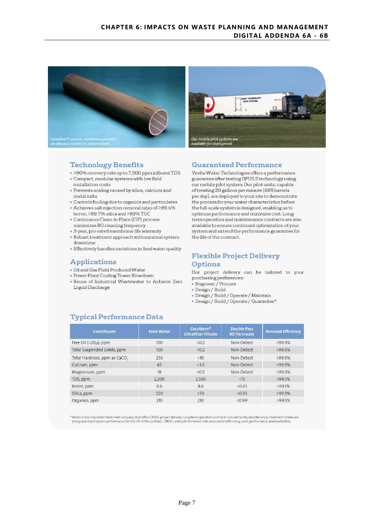

### **Technology Benefits**

- . >90% recovery rate up to 7,500 ppm influent TDS · Compact, modular systems with low field installation costs
- · Prevents scaling caused by silica, calcium and metal salts
- · Controls fouling due to organics and particulates
- Achieves salt rejection removal rates of >99.4%
- boron, >99.7% silica and >99% TOC • Continuous Clean-In-Place (CIP) process
- minimizes RO cleaning frequency
- · 3-year, pro-rated membrane life warranty
- . Robust treatment approach with minimal system downtime
- · Effectively handles variations in feed water quality

### **Applications**

- · Oil and Gas Field Produced Water
- Power Plant Cooling Tower Blowdown
- . Reuse of Industrial Wastewater to Achieve Zero Liquid Discharge

### **Guaranteed Performance**

Veolia Water Technologies offers a performance guarantee after testing OPUS II technology using our mobile pilot system. Our pilot units, capable of treating 20 gallons per minute (685 barrels per day), are deployed to your site to demonstrate the process for your water characteristics before the full-scale system is designed, enabling us to optimize performance and minimize cost. Longterm operation and maintenance contracts are also available to ensure continued optimization of your system and extend the performance guarantee for the life of the contract.

## **Flexible Project Delivery Options**

Our project delivery can be tailored to your purchasing preferences:

- Engineer / Procure
- · Design / Build
- · Design / Build / Operate / Maintain
- · Design / Build / Operate / Guarantee\*

## **Typical Performance Data**

| <b>Constituent</b>           | <b>Feed Water</b> | CeraMem <sup>®</sup><br><b>Ultrafilter Filtrate</b> | <b>Double Pass</b><br><b>RO Permeate</b> | <b>Removal Efficiency</b> |
|------------------------------|-------------------|-----------------------------------------------------|------------------------------------------|---------------------------|
| Free Oil ( $>20\mu$ ), ppm   | 100               | $\langle 0.2$                                       | Non-Detect                               | >99.9%                    |
| Total Suspended Solids, ppm  | 100               | < 0.2                                               | Non-Detect                               | 299.9%                    |
| Total Hardness, ppm as CaCO, | 236               | <10                                                 | Non-Detect                               | 299.9%                    |
| Calcium, ppm                 | 65                | <3.2                                                | Non-Detect                               | $>99.9\%$                 |
| Magnesium, ppm               | 18                | < 0.5                                               | Non-Detect                               | $>99.9\%$                 |
| TDS, ppm                     | 2.200             | 2.500                                               | $<$ 15                                   | $>99.3\%$                 |
| Boron, ppm                   | 8.6               | 8.6                                                 | <0.03                                    | $>99.7\%$                 |
| Silica, ppm                  | 220               | < 50                                                | <0.03                                    | >99.9%                    |
| Organics, ppm                | 210               | 210                                                 | < 0.99                                   | $>99.5\%$                 |

\* Veolia is the only water treatment company that offers DBOG project delivery. Long-term operation contracts include facility maintenance, treatment chemicals and guaranteed system performance for the life of the contract. DBOG contracts eliminate risks associated with rising costs, performance and availability.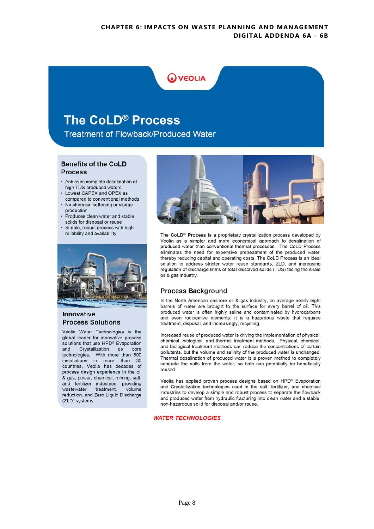## **WEOLIA**

# The CoLD® Process

**Treatment of Flowback/Produced Water** 

### **Benefits of the CoLD Process**

- · Achieves complete desalination of high TDS produced waters
- Lowest CAPEX and OPEX as
- compared to conventional methods • No chemical softening or sludge production
- Produces clean water and stable
- solids for disposal or reuse · Simple, robust process with high reliability and availability



### Innovative **Process Solutions**

Veolia Water Technologies is the global leader for innovative process solutions that use HPD® Evaporation and Crystallization as core technologies. With more than 800<br>installations in more than 30 countries, Veolia has decades of process design experience in the oil & gas, power, chemical, mining, salt, and fertilizer industries, providing wastewater treatment, volume reduction, and Zero Liquid Discharge (ZLD) systems.



The CoLD® Process is a proprietary crystallization process developed by Veolia as a simpler and more economical approach to desalination of produced water than conventional thermal processes. The CoLD Process eliminates the need for expensive pretreatment of the produced water, thereby reducing capital and operating costs. The CoLD Process is an ideal solution to address stricter water reuse standards, ZLD, and increasing regulation of discharge limits of total dissolved solids (TDS) facing the shale oil & gas industry.

## **Process Background**

In the North American onshore oil & gas industry, on average nearly eight barrels of water are brought to the surface for every barrel of oil. This produced water is often highly saline and contaminated by hydrocarbons and even radioactive elements: it is a hazardous waste that requires treatment, disposal, and increasingly, recycling.

Increased reuse of produced water is driving the implementation of physical, chemical, biological, and thermal treatment methods. Physical, chemical, and biological treatment methods can reduce the concentrations of certain pollutants, but the volume and salinity of the produced water is unchanged. Thermal desalination of produced water is a proven method to completely separate the salts from the water, so both can potentially be beneficially reused.

Veolia has applied proven process designs based on HPD® Evaporation and Crystallization technologies used in the salt, fertilizer, and chemical industries to develop a simple and robust process to separate the flowback and produced water from hydraulic fracturing into clean water and a stable, non-hazardous solid for disposal and/or reuse.

### **WATER TECHNOLOGIES**